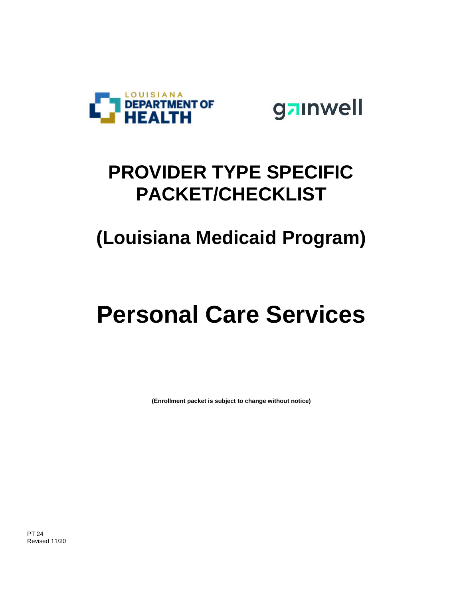



### **PROVIDER TYPE SPECIFIC PACKET/CHECKLIST**

## **(Louisiana Medicaid Program)**

## **Personal Care Services**

**(Enrollment packet is subject to change without notice)**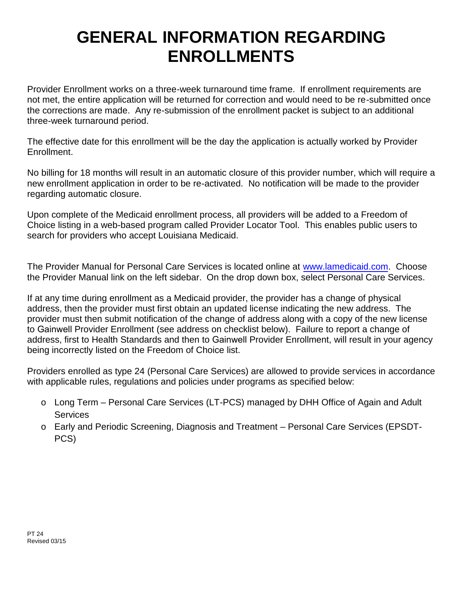#### **GENERAL INFORMATION REGARDING ENROLLMENTS**

Provider Enrollment works on a three-week turnaround time frame. If enrollment requirements are not met, the entire application will be returned for correction and would need to be re-submitted once the corrections are made. Any re-submission of the enrollment packet is subject to an additional three-week turnaround period.

The effective date for this enrollment will be the day the application is actually worked by Provider Enrollment.

No billing for 18 months will result in an automatic closure of this provider number, which will require a new enrollment application in order to be re-activated. No notification will be made to the provider regarding automatic closure.

Upon complete of the Medicaid enrollment process, all providers will be added to a Freedom of Choice listing in a web-based program called Provider Locator Tool. This enables public users to search for providers who accept Louisiana Medicaid.

The Provider Manual for Personal Care Services is located online at www.lamedicaid.com. Choose the Provider Manual link on the left sidebar. On the drop down box, select Personal Care Services.

If at any time during enrollment as a Medicaid provider, the provider has a change of physical address, then the provider must first obtain an updated license indicating the new address. The provider must then submit notification of the change of address along with a copy of the new license to Gainwell Provider Enrollment (see address on checklist below). Failure to report a change of address, first to Health Standards and then to Gainwell Provider Enrollment, will result in your agency being incorrectly listed on the Freedom of Choice list.

Providers enrolled as type 24 (Personal Care Services) are allowed to provide services in accordance with applicable rules, regulations and policies under programs as specified below:

- o Long Term Personal Care Services (LT-PCS) managed by DHH Office of Again and Adult **Services**
- o Early and Periodic Screening, Diagnosis and Treatment Personal Care Services (EPSDT- PCS)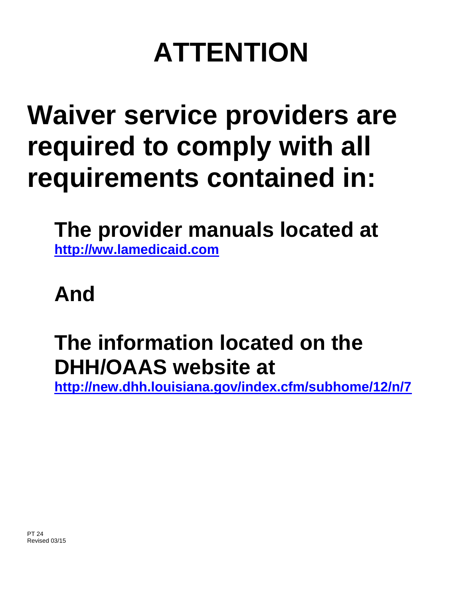# **ATTENTION**

## **Waiver service providers are required to comply with all requirements contained in:**

**The provider manuals located at http://ww.lamedicaid.com**

**And**

## **The information located on the DHH/OAAS website at**

**http://new.dhh.louisiana.gov/index.cfm/subhome/12/n/7**

PT 24 Revised 03/15